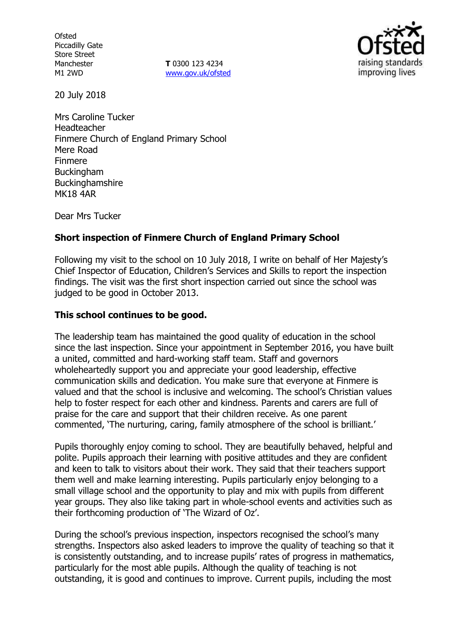**Ofsted** Piccadilly Gate Store Street Manchester M1 2WD

**T** 0300 123 4234 www.gov.uk/ofsted



20 July 2018

Mrs Caroline Tucker Headteacher Finmere Church of England Primary School Mere Road Finmere Buckingham Buckinghamshire MK18 4AR

Dear Mrs Tucker

# **Short inspection of Finmere Church of England Primary School**

Following my visit to the school on 10 July 2018, I write on behalf of Her Majesty's Chief Inspector of Education, Children's Services and Skills to report the inspection findings. The visit was the first short inspection carried out since the school was judged to be good in October 2013.

## **This school continues to be good.**

The leadership team has maintained the good quality of education in the school since the last inspection. Since your appointment in September 2016, you have built a united, committed and hard-working staff team. Staff and governors wholeheartedly support you and appreciate your good leadership, effective communication skills and dedication. You make sure that everyone at Finmere is valued and that the school is inclusive and welcoming. The school's Christian values help to foster respect for each other and kindness. Parents and carers are full of praise for the care and support that their children receive. As one parent commented, 'The nurturing, caring, family atmosphere of the school is brilliant.'

Pupils thoroughly enjoy coming to school. They are beautifully behaved, helpful and polite. Pupils approach their learning with positive attitudes and they are confident and keen to talk to visitors about their work. They said that their teachers support them well and make learning interesting. Pupils particularly enjoy belonging to a small village school and the opportunity to play and mix with pupils from different year groups. They also like taking part in whole-school events and activities such as their forthcoming production of 'The Wizard of Oz'.

During the school's previous inspection, inspectors recognised the school's many strengths. Inspectors also asked leaders to improve the quality of teaching so that it is consistently outstanding, and to increase pupils' rates of progress in mathematics, particularly for the most able pupils. Although the quality of teaching is not outstanding, it is good and continues to improve. Current pupils, including the most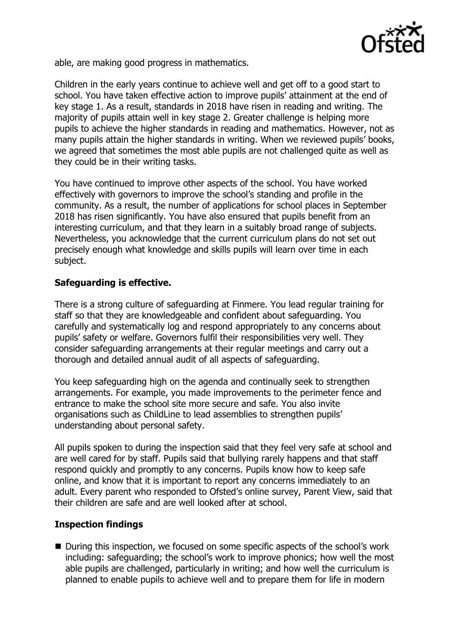

able, are making good progress in mathematics.

Children in the early years continue to achieve well and get off to a good start to school. You have taken effective action to improve pupils' attainment at the end of key stage 1. As a result, standards in 2018 have risen in reading and writing. The majority of pupils attain well in key stage 2. Greater challenge is helping more pupils to achieve the higher standards in reading and mathematics. However, not as many pupils attain the higher standards in writing. When we reviewed pupils' books, we agreed that sometimes the most able pupils are not challenged quite as well as they could be in their writing tasks.

You have continued to improve other aspects of the school. You have worked effectively with governors to improve the school's standing and profile in the community. As a result, the number of applications for school places in September 2018 has risen significantly. You have also ensured that pupils benefit from an interesting curriculum, and that they learn in a suitably broad range of subjects. Nevertheless, you acknowledge that the current curriculum plans do not set out precisely enough what knowledge and skills pupils will learn over time in each subject.

## **Safeguarding is effective.**

There is a strong culture of safeguarding at Finmere. You lead regular training for staff so that they are knowledgeable and confident about safeguarding. You carefully and systematically log and respond appropriately to any concerns about pupils' safety or welfare. Governors fulfil their responsibilities very well. They consider safeguarding arrangements at their regular meetings and carry out a thorough and detailed annual audit of all aspects of safeguarding.

You keep safeguarding high on the agenda and continually seek to strengthen arrangements. For example, you made improvements to the perimeter fence and entrance to make the school site more secure and safe. You also invite organisations such as ChildLine to lead assemblies to strengthen pupils' understanding about personal safety.

All pupils spoken to during the inspection said that they feel very safe at school and are well cared for by staff. Pupils said that bullying rarely happens and that staff respond quickly and promptly to any concerns. Pupils know how to keep safe online, and know that it is important to report any concerns immediately to an adult. Every parent who responded to Ofsted's online survey, Parent View, said that their children are safe and are well looked after at school.

### **Inspection findings**

■ During this inspection, we focused on some specific aspects of the school's work including: safeguarding; the school's work to improve phonics; how well the most able pupils are challenged, particularly in writing; and how well the curriculum is planned to enable pupils to achieve well and to prepare them for life in modern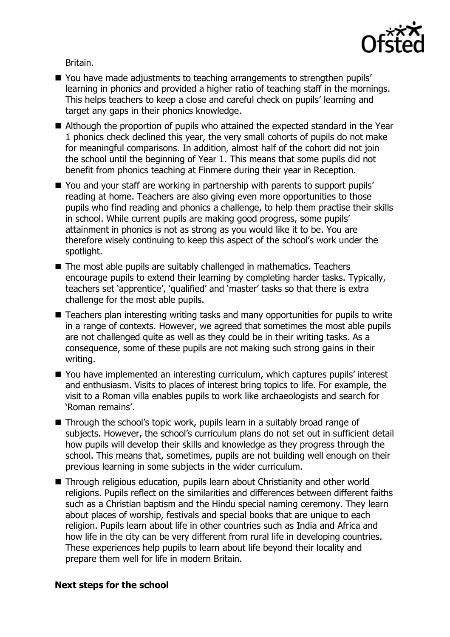

Britain.

- You have made adjustments to teaching arrangements to strengthen pupils' learning in phonics and provided a higher ratio of teaching staff in the mornings. This helps teachers to keep a close and careful check on pupils' learning and target any gaps in their phonics knowledge.
- Although the proportion of pupils who attained the expected standard in the Year 1 phonics check declined this year, the very small cohorts of pupils do not make for meaningful comparisons. In addition, almost half of the cohort did not join the school until the beginning of Year 1. This means that some pupils did not benefit from phonics teaching at Finmere during their year in Reception.
- You and your staff are working in partnership with parents to support pupils' reading at home. Teachers are also giving even more opportunities to those pupils who find reading and phonics a challenge, to help them practise their skills in school. While current pupils are making good progress, some pupils' attainment in phonics is not as strong as you would like it to be. You are therefore wisely continuing to keep this aspect of the school's work under the spotlight.
- The most able pupils are suitably challenged in mathematics. Teachers encourage pupils to extend their learning by completing harder tasks. Typically, teachers set 'apprentice', 'qualified' and 'master' tasks so that there is extra challenge for the most able pupils.
- Teachers plan interesting writing tasks and many opportunities for pupils to write in a range of contexts. However, we agreed that sometimes the most able pupils are not challenged quite as well as they could be in their writing tasks. As a consequence, some of these pupils are not making such strong gains in their writing.
- You have implemented an interesting curriculum, which captures pupils' interest and enthusiasm. Visits to places of interest bring topics to life. For example, the visit to a Roman villa enables pupils to work like archaeologists and search for 'Roman remains'.
- Through the school's topic work, pupils learn in a suitably broad range of subjects. However, the school's curriculum plans do not set out in sufficient detail how pupils will develop their skills and knowledge as they progress through the school. This means that, sometimes, pupils are not building well enough on their previous learning in some subjects in the wider curriculum.
- Through religious education, pupils learn about Christianity and other world religions. Pupils reflect on the similarities and differences between different faiths such as a Christian baptism and the Hindu special naming ceremony. They learn about places of worship, festivals and special books that are unique to each religion. Pupils learn about life in other countries such as India and Africa and how life in the city can be very different from rural life in developing countries. These experiences help pupils to learn about life beyond their locality and prepare them well for life in modern Britain.

### **Next steps for the school**